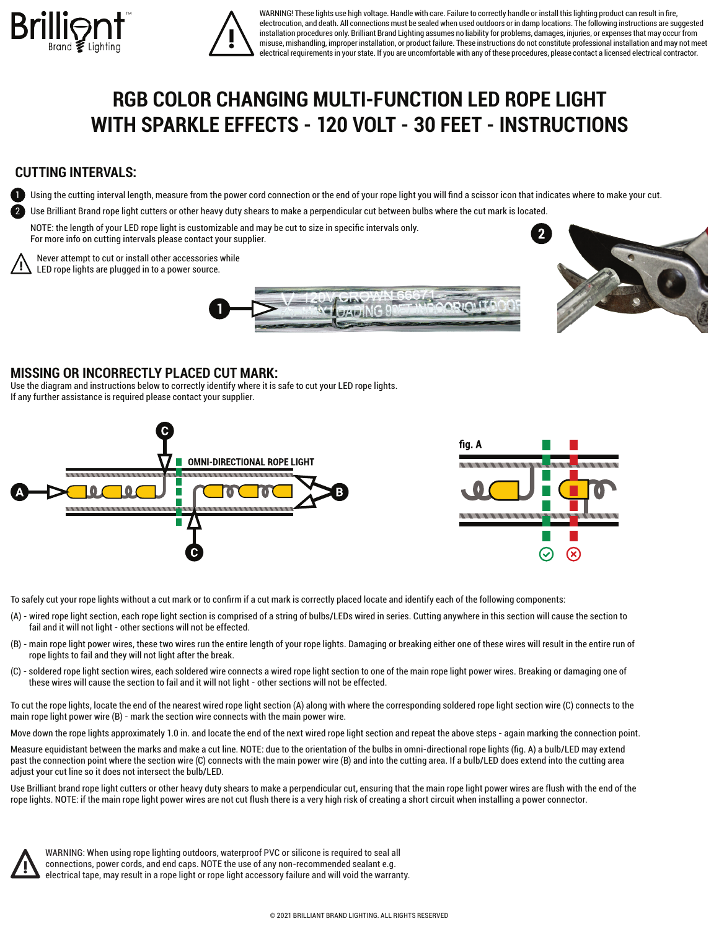



WARNING! These lights use high voltage. Handle with care. Failure to correctly handle or install this lighting product can result in fire. electrocution, and death. All connections must be sealed when used outdoors or in damp locations. The following instructions are suggested installation procedures only. Brilliant Brand Lighting assumes no liability for problems, damages, injuries, or expenses that may occur from misuse, mishandling, improper installation, or product failure. These instructions do not constitute professional installation and may not meet electrical requirements in your state. If you are uncomfortable with any of these procedures, please contact a licensed electrical contractor.

## **RGB COLOR CHANGING MULTI-FUNCTION LED ROPE LIGHT WITH SPARKLE EFFECTS - 120 VOLT - 30 FEET - INSTRUCTIONS**

## **CUTTING INTERVALS:**

Using the cutting interval length, measure from the power cord connection or the end of your rope light you will find a scissor icon that indicates where to make your cut.

 $911101$ 

2 Use Brilliant Brand rope light cutters or other heavy duty shears to make a perpendicular cut between bulbs where the cut mark is located.

 NOTE: the length of your LED rope light is customizable and may be cut to size in specific intervals only. For more info on cutting intervals please contact your supplier.



Never attempt to cut or install other accessories while LED rope lights are plugged in to a power source.



## **MISSING OR INCORRECTLY PLACED CUT MARK:**

Use the diagram and instructions below to correctly identify where it is safe to cut your LED rope lights. If any further assistance is required please contact your supplier.



To safely cut your rope lights without a cut mark or to confirm if a cut mark is correctly placed locate and identify each of the following components:

- (A) wired rope light section, each rope light section is comprised of a string of bulbs/LEDs wired in series. Cutting anywhere in this section will cause the section to fail and it will not light - other sections will not be effected.
- (B) main rope light power wires, these two wires run the entire length of your rope lights. Damaging or breaking either one of these wires will result in the entire run of rope lights to fail and they will not light after the break.
- (C) soldered rope light section wires, each soldered wire connects a wired rope light section to one of the main rope light power wires. Breaking or damaging one of these wires will cause the section to fail and it will not light - other sections will not be effected.

To cut the rope lights, locate the end of the nearest wired rope light section (A) along with where the corresponding soldered rope light section wire (C) connects to the main rope light power wire (B) - mark the section wire connects with the main power wire.

Move down the rope lights approximately 1.0 in. and locate the end of the next wired rope light section and repeat the above steps - again marking the connection point.

Measure equidistant between the marks and make a cut line. NOTE: due to the orientation of the bulbs in omni-directional rope lights (fig. A) a bulb/LED may extend past the connection point where the section wire (C) connects with the main power wire (B) and into the cutting area. If a bulb/LED does extend into the cutting area adjust your cut line so it does not intersect the bulb/LED.

Use Brilliant brand rope light cutters or other heavy duty shears to make a perpendicular cut, ensuring that the main rope light power wires are flush with the end of the rope lights. NOTE: if the main rope light power wires are not cut flush there is a very high risk of creating a short circuit when installing a power connector.



WARNING: When using rope lighting outdoors, waterproof PVC or silicone is required to seal all connections, power cords, and end caps. NOTE the use of any non-recommended sealant e.g. electrical tape, may result in a rope light or rope light accessory failure and will void the warranty.